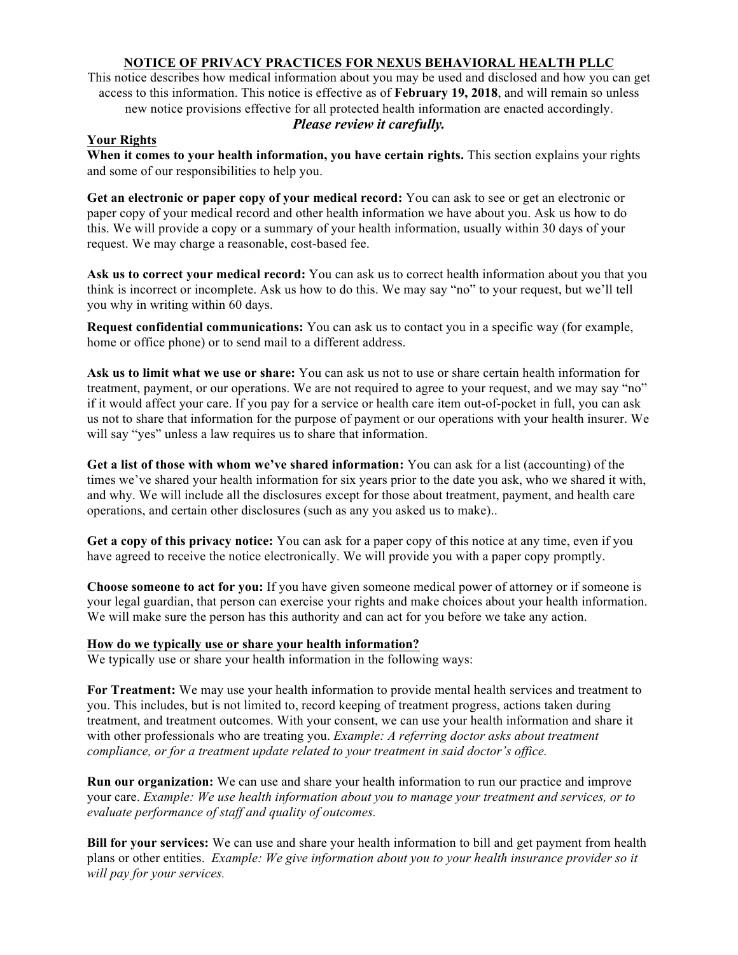# **NOTICE OF PRIVACY PRACTICES FOR NEXUS BEHAVIORAL HEALTH PLLC**

This notice describes how medical information about you may be used and disclosed and how you can get access to this information. This notice is effective as of **February 19, 2018**, and will remain so unless new notice provisions effective for all protected health information are enacted accordingly. *Please review it carefully.*

## **Your Rights**

**When it comes to your health information, you have certain rights.** This section explains your rights and some of our responsibilities to help you.

**Get an electronic or paper copy of your medical record:** You can ask to see or get an electronic or paper copy of your medical record and other health information we have about you. Ask us how to do this. We will provide a copy or a summary of your health information, usually within 30 days of your request. We may charge a reasonable, cost-based fee.

**Ask us to correct your medical record:** You can ask us to correct health information about you that you think is incorrect or incomplete. Ask us how to do this. We may say "no" to your request, but we'll tell you why in writing within 60 days.

**Request confidential communications:** You can ask us to contact you in a specific way (for example, home or office phone) or to send mail to a different address.

**Ask us to limit what we use or share:** You can ask us not to use or share certain health information for treatment, payment, or our operations. We are not required to agree to your request, and we may say "no" if it would affect your care. If you pay for a service or health care item out-of-pocket in full, you can ask us not to share that information for the purpose of payment or our operations with your health insurer. We will say "yes" unless a law requires us to share that information.

**Get a list of those with whom we've shared information:** You can ask for a list (accounting) of the times we've shared your health information for six years prior to the date you ask, who we shared it with, and why. We will include all the disclosures except for those about treatment, payment, and health care operations, and certain other disclosures (such as any you asked us to make)..

**Get a copy of this privacy notice:** You can ask for a paper copy of this notice at any time, even if you have agreed to receive the notice electronically. We will provide you with a paper copy promptly.

**Choose someone to act for you:** If you have given someone medical power of attorney or if someone is your legal guardian, that person can exercise your rights and make choices about your health information. We will make sure the person has this authority and can act for you before we take any action.

## **How do we typically use or share your health information?**

We typically use or share your health information in the following ways:

**For Treatment:** We may use your health information to provide mental health services and treatment to you. This includes, but is not limited to, record keeping of treatment progress, actions taken during treatment, and treatment outcomes. With your consent, we can use your health information and share it with other professionals who are treating you. *Example: A referring doctor asks about treatment compliance, or for a treatment update related to your treatment in said doctor's office.* 

**Run our organization:** We can use and share your health information to run our practice and improve your care. *Example: We use health information about you to manage your treatment and services, or to evaluate performance of staff and quality of outcomes.* 

**Bill for your services:** We can use and share your health information to bill and get payment from health plans or other entities. *Example: We give information about you to your health insurance provider so it will pay for your services.*